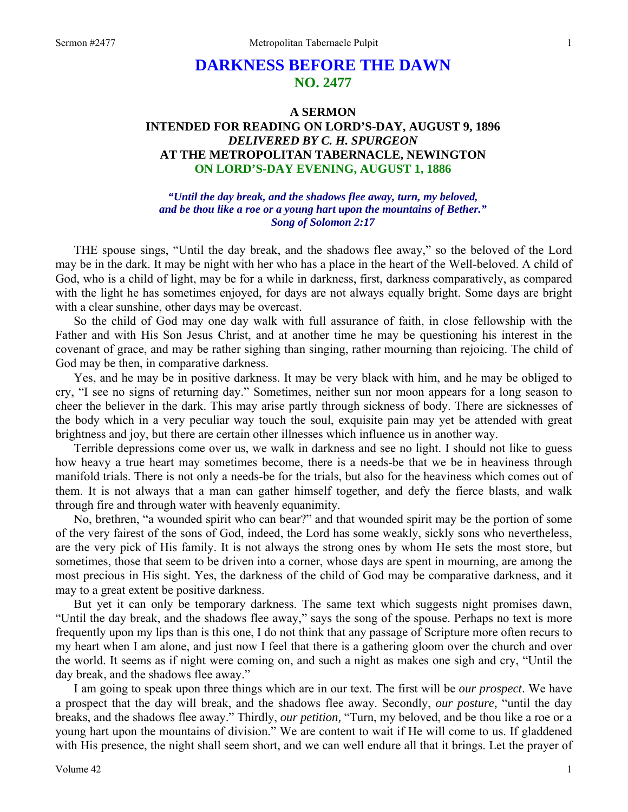# **DARKNESS BEFORE THE DAWN NO. 2477**

## **A SERMON INTENDED FOR READING ON LORD'S-DAY, AUGUST 9, 1896**  *DELIVERED BY C. H. SPURGEON*  **AT THE METROPOLITAN TABERNACLE, NEWINGTON ON LORD'S-DAY EVENING, AUGUST 1, 1886**

*"Until the day break, and the shadows flee away, turn, my beloved, and be thou like a roe or a young hart upon the mountains of Bether." Song of Solomon 2:17* 

THE spouse sings, "Until the day break, and the shadows flee away," so the beloved of the Lord may be in the dark. It may be night with her who has a place in the heart of the Well-beloved. A child of God, who is a child of light, may be for a while in darkness, first, darkness comparatively, as compared with the light he has sometimes enjoyed, for days are not always equally bright. Some days are bright with a clear sunshine, other days may be overcast.

So the child of God may one day walk with full assurance of faith, in close fellowship with the Father and with His Son Jesus Christ, and at another time he may be questioning his interest in the covenant of grace, and may be rather sighing than singing, rather mourning than rejoicing. The child of God may be then, in comparative darkness.

Yes, and he may be in positive darkness. It may be very black with him, and he may be obliged to cry, "I see no signs of returning day." Sometimes, neither sun nor moon appears for a long season to cheer the believer in the dark. This may arise partly through sickness of body. There are sicknesses of the body which in a very peculiar way touch the soul, exquisite pain may yet be attended with great brightness and joy, but there are certain other illnesses which influence us in another way.

Terrible depressions come over us, we walk in darkness and see no light. I should not like to guess how heavy a true heart may sometimes become, there is a needs-be that we be in heaviness through manifold trials. There is not only a needs-be for the trials, but also for the heaviness which comes out of them. It is not always that a man can gather himself together, and defy the fierce blasts, and walk through fire and through water with heavenly equanimity.

No, brethren, "a wounded spirit who can bear?" and that wounded spirit may be the portion of some of the very fairest of the sons of God, indeed, the Lord has some weakly, sickly sons who nevertheless, are the very pick of His family. It is not always the strong ones by whom He sets the most store, but sometimes, those that seem to be driven into a corner, whose days are spent in mourning, are among the most precious in His sight. Yes, the darkness of the child of God may be comparative darkness, and it may to a great extent be positive darkness.

But yet it can only be temporary darkness. The same text which suggests night promises dawn, "Until the day break, and the shadows flee away," says the song of the spouse. Perhaps no text is more frequently upon my lips than is this one, I do not think that any passage of Scripture more often recurs to my heart when I am alone, and just now I feel that there is a gathering gloom over the church and over the world. It seems as if night were coming on, and such a night as makes one sigh and cry, "Until the day break, and the shadows flee away."

I am going to speak upon three things which are in our text. The first will be *our prospect*. We have a prospect that the day will break, and the shadows flee away. Secondly, *our posture,* "until the day breaks, and the shadows flee away." Thirdly, *our petition,* "Turn, my beloved, and be thou like a roe or a young hart upon the mountains of division." We are content to wait if He will come to us. If gladdened with His presence, the night shall seem short, and we can well endure all that it brings. Let the prayer of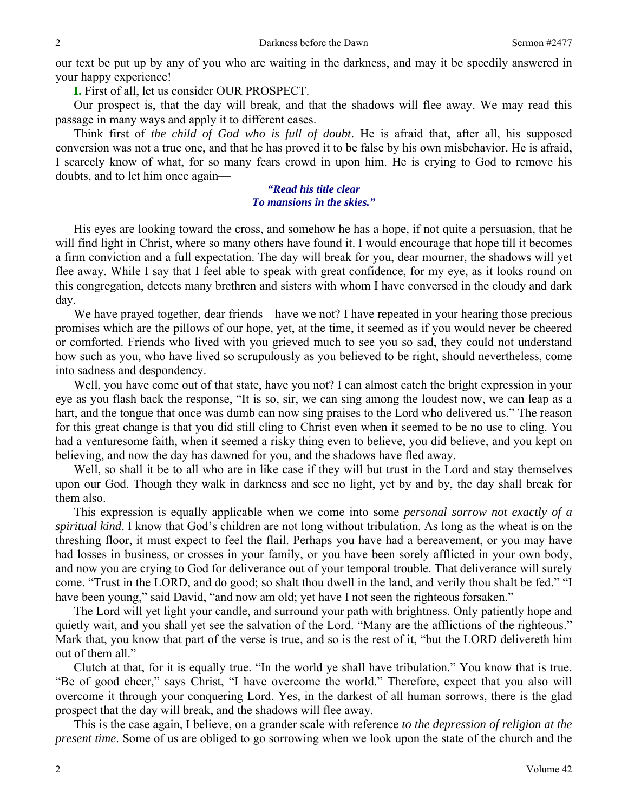our text be put up by any of you who are waiting in the darkness, and may it be speedily answered in your happy experience!

**I.** First of all, let us consider OUR PROSPECT.

Our prospect is, that the day will break, and that the shadows will flee away. We may read this passage in many ways and apply it to different cases.

Think first of *the child of God who is full of doubt*. He is afraid that, after all, his supposed conversion was not a true one, and that he has proved it to be false by his own misbehavior. He is afraid, I scarcely know of what, for so many fears crowd in upon him. He is crying to God to remove his doubts, and to let him once again—

## *"Read his title clear To mansions in the skies."*

His eyes are looking toward the cross, and somehow he has a hope, if not quite a persuasion, that he will find light in Christ, where so many others have found it. I would encourage that hope till it becomes a firm conviction and a full expectation. The day will break for you, dear mourner, the shadows will yet flee away. While I say that I feel able to speak with great confidence, for my eye, as it looks round on this congregation, detects many brethren and sisters with whom I have conversed in the cloudy and dark day.

We have prayed together, dear friends—have we not? I have repeated in your hearing those precious promises which are the pillows of our hope, yet, at the time, it seemed as if you would never be cheered or comforted. Friends who lived with you grieved much to see you so sad, they could not understand how such as you, who have lived so scrupulously as you believed to be right, should nevertheless, come into sadness and despondency.

Well, you have come out of that state, have you not? I can almost catch the bright expression in your eye as you flash back the response, "It is so, sir, we can sing among the loudest now, we can leap as a hart, and the tongue that once was dumb can now sing praises to the Lord who delivered us." The reason for this great change is that you did still cling to Christ even when it seemed to be no use to cling. You had a venturesome faith, when it seemed a risky thing even to believe, you did believe, and you kept on believing, and now the day has dawned for you, and the shadows have fled away.

Well, so shall it be to all who are in like case if they will but trust in the Lord and stay themselves upon our God. Though they walk in darkness and see no light, yet by and by, the day shall break for them also.

This expression is equally applicable when we come into some *personal sorrow not exactly of a spiritual kind*. I know that God's children are not long without tribulation. As long as the wheat is on the threshing floor, it must expect to feel the flail. Perhaps you have had a bereavement, or you may have had losses in business, or crosses in your family, or you have been sorely afflicted in your own body, and now you are crying to God for deliverance out of your temporal trouble. That deliverance will surely come. "Trust in the LORD, and do good; so shalt thou dwell in the land, and verily thou shalt be fed." "I have been young," said David, "and now am old; yet have I not seen the righteous forsaken."

The Lord will yet light your candle, and surround your path with brightness. Only patiently hope and quietly wait, and you shall yet see the salvation of the Lord. "Many are the afflictions of the righteous." Mark that, you know that part of the verse is true, and so is the rest of it, "but the LORD delivereth him out of them all."

Clutch at that, for it is equally true. "In the world ye shall have tribulation." You know that is true. "Be of good cheer," says Christ, "I have overcome the world." Therefore, expect that you also will overcome it through your conquering Lord. Yes, in the darkest of all human sorrows, there is the glad prospect that the day will break, and the shadows will flee away.

This is the case again, I believe, on a grander scale with reference *to the depression of religion at the present time*. Some of us are obliged to go sorrowing when we look upon the state of the church and the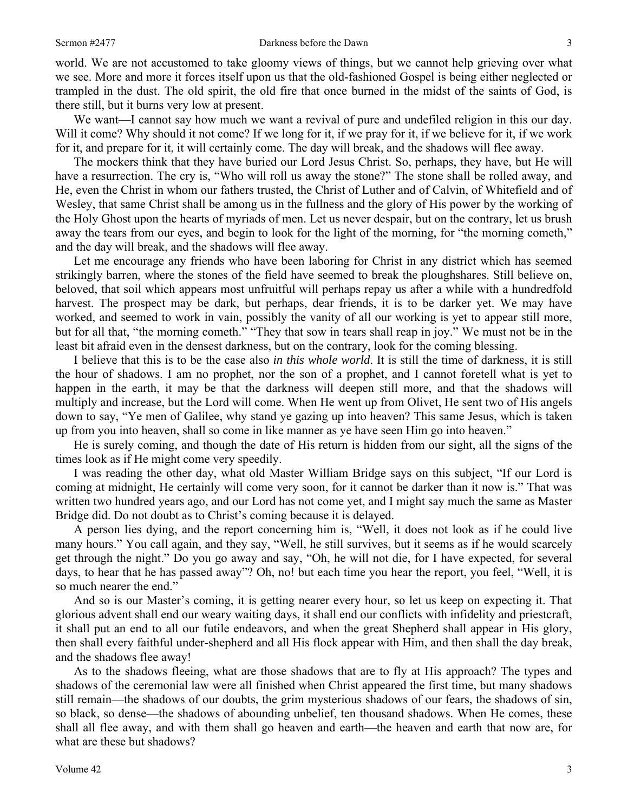world. We are not accustomed to take gloomy views of things, but we cannot help grieving over what we see. More and more it forces itself upon us that the old-fashioned Gospel is being either neglected or trampled in the dust. The old spirit, the old fire that once burned in the midst of the saints of God, is there still, but it burns very low at present.

We want—I cannot say how much we want a revival of pure and undefiled religion in this our day. Will it come? Why should it not come? If we long for it, if we pray for it, if we believe for it, if we work for it, and prepare for it, it will certainly come. The day will break, and the shadows will flee away.

The mockers think that they have buried our Lord Jesus Christ. So, perhaps, they have, but He will have a resurrection. The cry is, "Who will roll us away the stone?" The stone shall be rolled away, and He, even the Christ in whom our fathers trusted, the Christ of Luther and of Calvin, of Whitefield and of Wesley, that same Christ shall be among us in the fullness and the glory of His power by the working of the Holy Ghost upon the hearts of myriads of men. Let us never despair, but on the contrary, let us brush away the tears from our eyes, and begin to look for the light of the morning, for "the morning cometh," and the day will break, and the shadows will flee away.

Let me encourage any friends who have been laboring for Christ in any district which has seemed strikingly barren, where the stones of the field have seemed to break the ploughshares. Still believe on, beloved, that soil which appears most unfruitful will perhaps repay us after a while with a hundredfold harvest. The prospect may be dark, but perhaps, dear friends, it is to be darker yet. We may have worked, and seemed to work in vain, possibly the vanity of all our working is yet to appear still more, but for all that, "the morning cometh." "They that sow in tears shall reap in joy." We must not be in the least bit afraid even in the densest darkness, but on the contrary, look for the coming blessing.

I believe that this is to be the case also *in this whole world*. It is still the time of darkness, it is still the hour of shadows. I am no prophet, nor the son of a prophet, and I cannot foretell what is yet to happen in the earth, it may be that the darkness will deepen still more, and that the shadows will multiply and increase, but the Lord will come. When He went up from Olivet, He sent two of His angels down to say, "Ye men of Galilee, why stand ye gazing up into heaven? This same Jesus, which is taken up from you into heaven, shall so come in like manner as ye have seen Him go into heaven."

He is surely coming, and though the date of His return is hidden from our sight, all the signs of the times look as if He might come very speedily.

I was reading the other day, what old Master William Bridge says on this subject, "If our Lord is coming at midnight, He certainly will come very soon, for it cannot be darker than it now is." That was written two hundred years ago, and our Lord has not come yet, and I might say much the same as Master Bridge did. Do not doubt as to Christ's coming because it is delayed.

A person lies dying, and the report concerning him is, "Well, it does not look as if he could live many hours." You call again, and they say, "Well, he still survives, but it seems as if he would scarcely get through the night." Do you go away and say, "Oh, he will not die, for I have expected, for several days, to hear that he has passed away"? Oh, no! but each time you hear the report, you feel, "Well, it is so much nearer the end."

And so is our Master's coming, it is getting nearer every hour, so let us keep on expecting it. That glorious advent shall end our weary waiting days, it shall end our conflicts with infidelity and priestcraft, it shall put an end to all our futile endeavors, and when the great Shepherd shall appear in His glory, then shall every faithful under-shepherd and all His flock appear with Him, and then shall the day break, and the shadows flee away!

As to the shadows fleeing, what are those shadows that are to fly at His approach? The types and shadows of the ceremonial law were all finished when Christ appeared the first time, but many shadows still remain—the shadows of our doubts, the grim mysterious shadows of our fears, the shadows of sin, so black, so dense—the shadows of abounding unbelief, ten thousand shadows. When He comes, these shall all flee away, and with them shall go heaven and earth—the heaven and earth that now are, for what are these but shadows?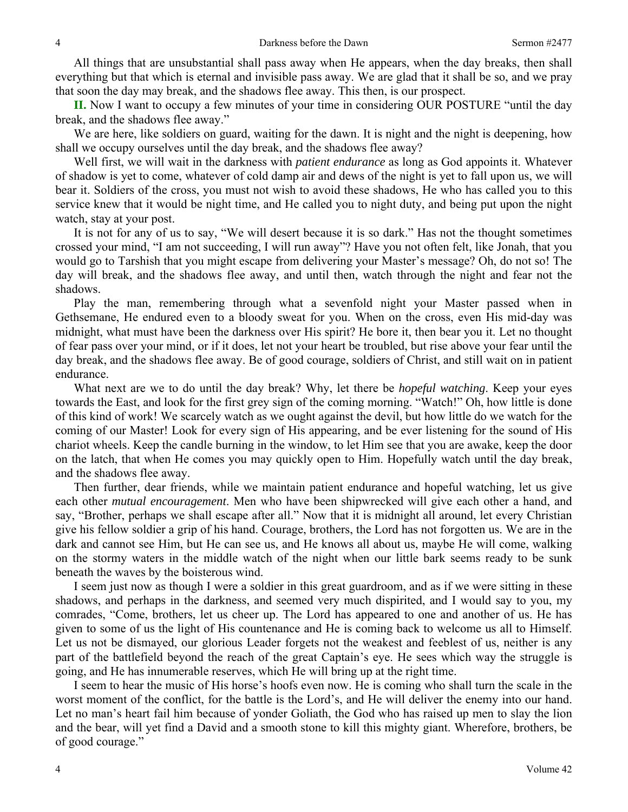All things that are unsubstantial shall pass away when He appears, when the day breaks, then shall everything but that which is eternal and invisible pass away. We are glad that it shall be so, and we pray that soon the day may break, and the shadows flee away. This then, is our prospect.

**II.** Now I want to occupy a few minutes of your time in considering OUR POSTURE "until the day break, and the shadows flee away."

We are here, like soldiers on guard, waiting for the dawn. It is night and the night is deepening, how shall we occupy ourselves until the day break, and the shadows flee away?

Well first, we will wait in the darkness with *patient endurance* as long as God appoints it. Whatever of shadow is yet to come, whatever of cold damp air and dews of the night is yet to fall upon us, we will bear it. Soldiers of the cross, you must not wish to avoid these shadows, He who has called you to this service knew that it would be night time, and He called you to night duty, and being put upon the night watch, stay at your post.

It is not for any of us to say, "We will desert because it is so dark." Has not the thought sometimes crossed your mind, "I am not succeeding, I will run away"? Have you not often felt, like Jonah, that you would go to Tarshish that you might escape from delivering your Master's message? Oh, do not so! The day will break, and the shadows flee away, and until then, watch through the night and fear not the shadows.

Play the man, remembering through what a sevenfold night your Master passed when in Gethsemane, He endured even to a bloody sweat for you. When on the cross, even His mid-day was midnight, what must have been the darkness over His spirit? He bore it, then bear you it. Let no thought of fear pass over your mind, or if it does, let not your heart be troubled, but rise above your fear until the day break, and the shadows flee away. Be of good courage, soldiers of Christ, and still wait on in patient endurance.

What next are we to do until the day break? Why, let there be *hopeful watching*. Keep your eyes towards the East, and look for the first grey sign of the coming morning. "Watch!" Oh, how little is done of this kind of work! We scarcely watch as we ought against the devil, but how little do we watch for the coming of our Master! Look for every sign of His appearing, and be ever listening for the sound of His chariot wheels. Keep the candle burning in the window, to let Him see that you are awake, keep the door on the latch, that when He comes you may quickly open to Him. Hopefully watch until the day break, and the shadows flee away.

Then further, dear friends, while we maintain patient endurance and hopeful watching, let us give each other *mutual encouragement*. Men who have been shipwrecked will give each other a hand, and say, "Brother, perhaps we shall escape after all." Now that it is midnight all around, let every Christian give his fellow soldier a grip of his hand. Courage, brothers, the Lord has not forgotten us. We are in the dark and cannot see Him, but He can see us, and He knows all about us, maybe He will come, walking on the stormy waters in the middle watch of the night when our little bark seems ready to be sunk beneath the waves by the boisterous wind.

I seem just now as though I were a soldier in this great guardroom, and as if we were sitting in these shadows, and perhaps in the darkness, and seemed very much dispirited, and I would say to you, my comrades, "Come, brothers, let us cheer up. The Lord has appeared to one and another of us. He has given to some of us the light of His countenance and He is coming back to welcome us all to Himself. Let us not be dismayed, our glorious Leader forgets not the weakest and feeblest of us, neither is any part of the battlefield beyond the reach of the great Captain's eye. He sees which way the struggle is going, and He has innumerable reserves, which He will bring up at the right time.

I seem to hear the music of His horse's hoofs even now. He is coming who shall turn the scale in the worst moment of the conflict, for the battle is the Lord's, and He will deliver the enemy into our hand. Let no man's heart fail him because of yonder Goliath, the God who has raised up men to slay the lion and the bear, will yet find a David and a smooth stone to kill this mighty giant. Wherefore, brothers, be of good courage."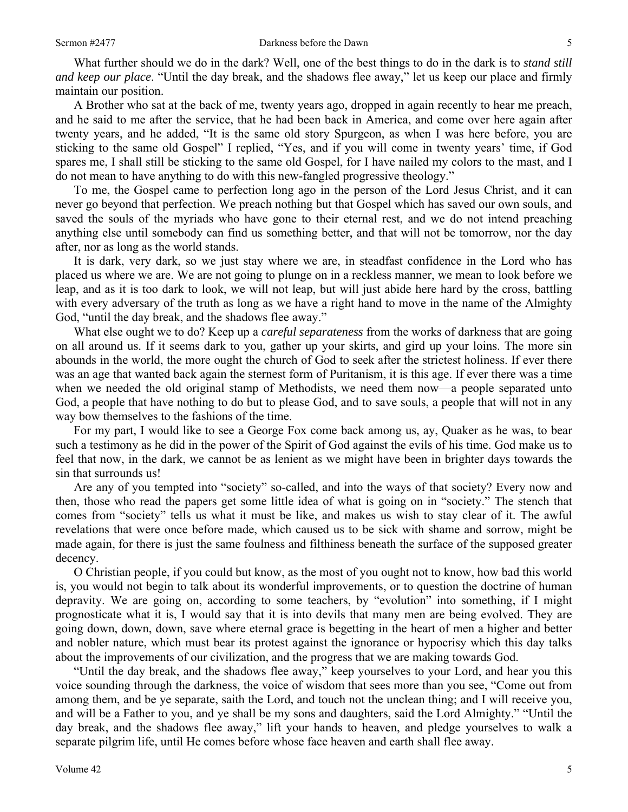What further should we do in the dark? Well, one of the best things to do in the dark is to *stand still and keep our place*. "Until the day break, and the shadows flee away," let us keep our place and firmly maintain our position.

A Brother who sat at the back of me, twenty years ago, dropped in again recently to hear me preach, and he said to me after the service, that he had been back in America, and come over here again after twenty years, and he added, "It is the same old story Spurgeon, as when I was here before, you are sticking to the same old Gospel" I replied, "Yes, and if you will come in twenty years' time, if God spares me, I shall still be sticking to the same old Gospel, for I have nailed my colors to the mast, and I do not mean to have anything to do with this new-fangled progressive theology."

To me, the Gospel came to perfection long ago in the person of the Lord Jesus Christ, and it can never go beyond that perfection. We preach nothing but that Gospel which has saved our own souls, and saved the souls of the myriads who have gone to their eternal rest, and we do not intend preaching anything else until somebody can find us something better, and that will not be tomorrow, nor the day after, nor as long as the world stands.

It is dark, very dark, so we just stay where we are, in steadfast confidence in the Lord who has placed us where we are. We are not going to plunge on in a reckless manner, we mean to look before we leap, and as it is too dark to look, we will not leap, but will just abide here hard by the cross, battling with every adversary of the truth as long as we have a right hand to move in the name of the Almighty God, "until the day break, and the shadows flee away."

What else ought we to do? Keep up a *careful separateness* from the works of darkness that are going on all around us. If it seems dark to you, gather up your skirts, and gird up your loins. The more sin abounds in the world, the more ought the church of God to seek after the strictest holiness. If ever there was an age that wanted back again the sternest form of Puritanism, it is this age. If ever there was a time when we needed the old original stamp of Methodists, we need them now—a people separated unto God, a people that have nothing to do but to please God, and to save souls, a people that will not in any way bow themselves to the fashions of the time.

For my part, I would like to see a George Fox come back among us, ay, Quaker as he was, to bear such a testimony as he did in the power of the Spirit of God against the evils of his time. God make us to feel that now, in the dark, we cannot be as lenient as we might have been in brighter days towards the sin that surrounds us!

Are any of you tempted into "society" so-called, and into the ways of that society? Every now and then, those who read the papers get some little idea of what is going on in "society." The stench that comes from "society" tells us what it must be like, and makes us wish to stay clear of it. The awful revelations that were once before made, which caused us to be sick with shame and sorrow, might be made again, for there is just the same foulness and filthiness beneath the surface of the supposed greater decency.

O Christian people, if you could but know, as the most of you ought not to know, how bad this world is, you would not begin to talk about its wonderful improvements, or to question the doctrine of human depravity. We are going on, according to some teachers, by "evolution" into something, if I might prognosticate what it is, I would say that it is into devils that many men are being evolved. They are going down, down, down, save where eternal grace is begetting in the heart of men a higher and better and nobler nature, which must bear its protest against the ignorance or hypocrisy which this day talks about the improvements of our civilization, and the progress that we are making towards God.

"Until the day break, and the shadows flee away," keep yourselves to your Lord, and hear you this voice sounding through the darkness, the voice of wisdom that sees more than you see, "Come out from among them, and be ye separate, saith the Lord, and touch not the unclean thing; and I will receive you, and will be a Father to you, and ye shall be my sons and daughters, said the Lord Almighty." "Until the day break, and the shadows flee away," lift your hands to heaven, and pledge yourselves to walk a separate pilgrim life, until He comes before whose face heaven and earth shall flee away.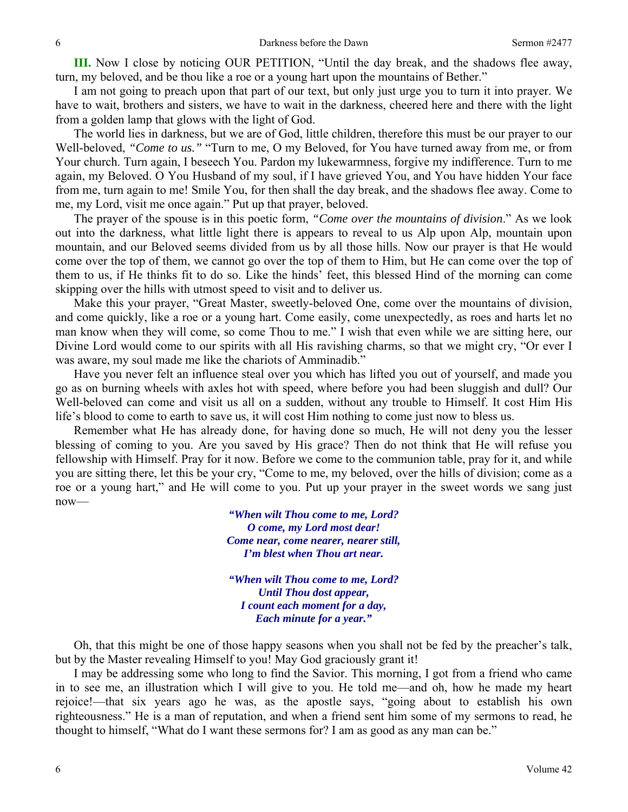**III.** Now I close by noticing OUR PETITION, "Until the day break, and the shadows flee away, turn, my beloved, and be thou like a roe or a young hart upon the mountains of Bether."

I am not going to preach upon that part of our text, but only just urge you to turn it into prayer. We have to wait, brothers and sisters, we have to wait in the darkness, cheered here and there with the light from a golden lamp that glows with the light of God.

The world lies in darkness, but we are of God, little children, therefore this must be our prayer to our Well-beloved, *"Come to us."* "Turn to me, O my Beloved, for You have turned away from me, or from Your church. Turn again, I beseech You. Pardon my lukewarmness, forgive my indifference. Turn to me again, my Beloved. O You Husband of my soul, if I have grieved You, and You have hidden Your face from me, turn again to me! Smile You, for then shall the day break, and the shadows flee away. Come to me, my Lord, visit me once again." Put up that prayer, beloved.

The prayer of the spouse is in this poetic form, *"Come over the mountains of division*." As we look out into the darkness, what little light there is appears to reveal to us Alp upon Alp, mountain upon mountain, and our Beloved seems divided from us by all those hills. Now our prayer is that He would come over the top of them, we cannot go over the top of them to Him, but He can come over the top of them to us, if He thinks fit to do so. Like the hinds' feet, this blessed Hind of the morning can come skipping over the hills with utmost speed to visit and to deliver us.

Make this your prayer, "Great Master, sweetly-beloved One, come over the mountains of division, and come quickly, like a roe or a young hart. Come easily, come unexpectedly, as roes and harts let no man know when they will come, so come Thou to me." I wish that even while we are sitting here, our Divine Lord would come to our spirits with all His ravishing charms, so that we might cry, "Or ever I was aware, my soul made me like the chariots of Amminadib."

Have you never felt an influence steal over you which has lifted you out of yourself, and made you go as on burning wheels with axles hot with speed, where before you had been sluggish and dull? Our Well-beloved can come and visit us all on a sudden, without any trouble to Himself. It cost Him His life's blood to come to earth to save us, it will cost Him nothing to come just now to bless us.

Remember what He has already done, for having done so much, He will not deny you the lesser blessing of coming to you. Are you saved by His grace? Then do not think that He will refuse you fellowship with Himself. Pray for it now. Before we come to the communion table, pray for it, and while you are sitting there, let this be your cry, "Come to me, my beloved, over the hills of division; come as a roe or a young hart," and He will come to you. Put up your prayer in the sweet words we sang just now—

> *"When wilt Thou come to me, Lord? O come, my Lord most dear! Come near, come nearer, nearer still, I'm blest when Thou art near.*

> *"When wilt Thou come to me, Lord? Until Thou dost appear, I count each moment for a day, Each minute for a year."*

Oh, that this might be one of those happy seasons when you shall not be fed by the preacher's talk, but by the Master revealing Himself to you! May God graciously grant it!

I may be addressing some who long to find the Savior. This morning, I got from a friend who came in to see me, an illustration which I will give to you. He told me—and oh, how he made my heart rejoice!—that six years ago he was, as the apostle says, "going about to establish his own righteousness." He is a man of reputation, and when a friend sent him some of my sermons to read, he thought to himself, "What do I want these sermons for? I am as good as any man can be."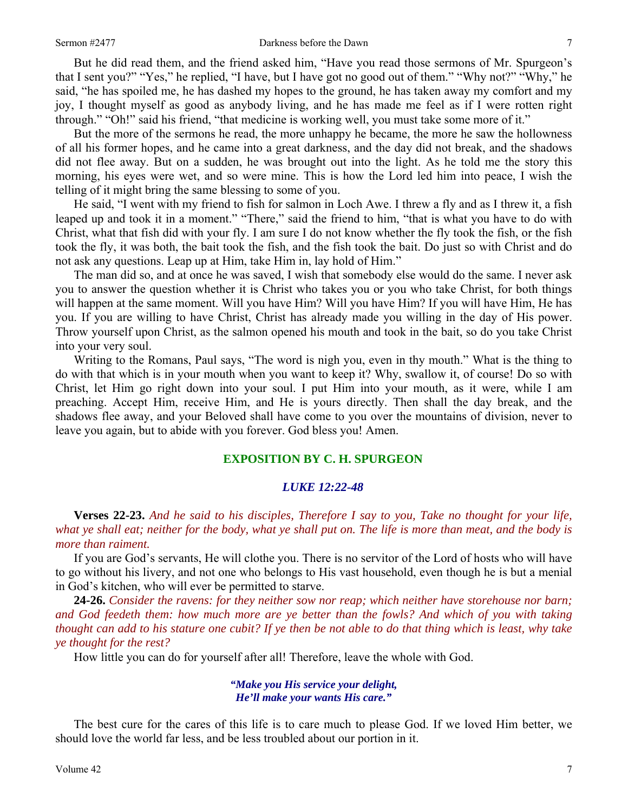But he did read them, and the friend asked him, "Have you read those sermons of Mr. Spurgeon's that I sent you?" "Yes," he replied, "I have, but I have got no good out of them." "Why not?" "Why," he said, "he has spoiled me, he has dashed my hopes to the ground, he has taken away my comfort and my joy, I thought myself as good as anybody living, and he has made me feel as if I were rotten right through." "Oh!" said his friend, "that medicine is working well, you must take some more of it."

But the more of the sermons he read, the more unhappy he became, the more he saw the hollowness of all his former hopes, and he came into a great darkness, and the day did not break, and the shadows did not flee away. But on a sudden, he was brought out into the light. As he told me the story this morning, his eyes were wet, and so were mine. This is how the Lord led him into peace, I wish the telling of it might bring the same blessing to some of you.

He said, "I went with my friend to fish for salmon in Loch Awe. I threw a fly and as I threw it, a fish leaped up and took it in a moment." "There," said the friend to him, "that is what you have to do with Christ, what that fish did with your fly. I am sure I do not know whether the fly took the fish, or the fish took the fly, it was both, the bait took the fish, and the fish took the bait. Do just so with Christ and do not ask any questions. Leap up at Him, take Him in, lay hold of Him."

The man did so, and at once he was saved, I wish that somebody else would do the same. I never ask you to answer the question whether it is Christ who takes you or you who take Christ, for both things will happen at the same moment. Will you have Him? Will you have Him? If you will have Him, He has you. If you are willing to have Christ, Christ has already made you willing in the day of His power. Throw yourself upon Christ, as the salmon opened his mouth and took in the bait, so do you take Christ into your very soul.

Writing to the Romans, Paul says, "The word is nigh you, even in thy mouth." What is the thing to do with that which is in your mouth when you want to keep it? Why, swallow it, of course! Do so with Christ, let Him go right down into your soul. I put Him into your mouth, as it were, while I am preaching. Accept Him, receive Him, and He is yours directly. Then shall the day break, and the shadows flee away, and your Beloved shall have come to you over the mountains of division, never to leave you again, but to abide with you forever. God bless you! Amen.

## **EXPOSITION BY C. H. SPURGEON**

#### *LUKE 12:22-48*

**Verses 22-23.** *And he said to his disciples, Therefore I say to you, Take no thought for your life, what ye shall eat; neither for the body, what ye shall put on. The life is more than meat, and the body is more than raiment.* 

If you are God's servants, He will clothe you. There is no servitor of the Lord of hosts who will have to go without his livery, and not one who belongs to His vast household, even though he is but a menial in God's kitchen, who will ever be permitted to starve.

**24-26.** *Consider the ravens: for they neither sow nor reap; which neither have storehouse nor barn; and God feedeth them: how much more are ye better than the fowls? And which of you with taking thought can add to his stature one cubit? If ye then be not able to do that thing which is least, why take ye thought for the rest?* 

How little you can do for yourself after all! Therefore, leave the whole with God.

#### *"Make you His service your delight, He'll make your wants His care."*

The best cure for the cares of this life is to care much to please God. If we loved Him better, we should love the world far less, and be less troubled about our portion in it.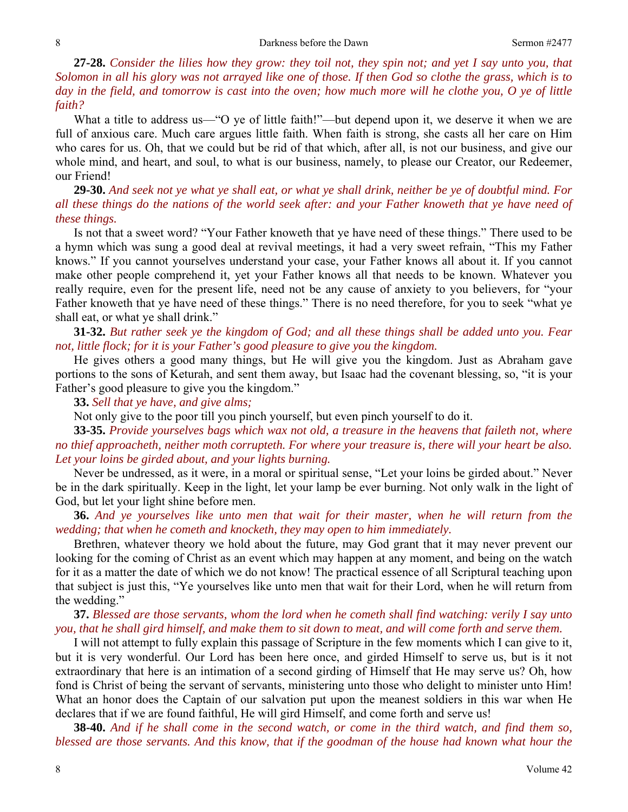**27-28.** *Consider the lilies how they grow: they toil not, they spin not; and yet I say unto you, that Solomon in all his glory was not arrayed like one of those. If then God so clothe the grass, which is to day in the field, and tomorrow is cast into the oven; how much more will he clothe you, O ye of little faith?* 

What a title to address us—"O ye of little faith!"—but depend upon it, we deserve it when we are full of anxious care. Much care argues little faith. When faith is strong, she casts all her care on Him who cares for us. Oh, that we could but be rid of that which, after all, is not our business, and give our whole mind, and heart, and soul, to what is our business, namely, to please our Creator, our Redeemer, our Friend!

**29-30.** *And seek not ye what ye shall eat, or what ye shall drink, neither be ye of doubtful mind. For all these things do the nations of the world seek after: and your Father knoweth that ye have need of these things.* 

Is not that a sweet word? "Your Father knoweth that ye have need of these things." There used to be a hymn which was sung a good deal at revival meetings, it had a very sweet refrain, "This my Father knows." If you cannot yourselves understand your case, your Father knows all about it. If you cannot make other people comprehend it, yet your Father knows all that needs to be known. Whatever you really require, even for the present life, need not be any cause of anxiety to you believers, for "your Father knoweth that ye have need of these things." There is no need therefore, for you to seek "what ye shall eat, or what ye shall drink."

**31-32.** *But rather seek ye the kingdom of God; and all these things shall be added unto you. Fear not, little flock; for it is your Father's good pleasure to give you the kingdom.* 

He gives others a good many things, but He will give you the kingdom. Just as Abraham gave portions to the sons of Keturah, and sent them away, but Isaac had the covenant blessing, so, "it is your Father's good pleasure to give you the kingdom."

**33.** *Sell that ye have, and give alms;* 

Not only give to the poor till you pinch yourself, but even pinch yourself to do it.

**33-35.** *Provide yourselves bags which wax not old, a treasure in the heavens that faileth not, where no thief approacheth, neither moth corrupteth. For where your treasure is, there will your heart be also. Let your loins be girded about, and your lights burning.* 

Never be undressed, as it were, in a moral or spiritual sense, "Let your loins be girded about." Never be in the dark spiritually. Keep in the light, let your lamp be ever burning. Not only walk in the light of God, but let your light shine before men.

**36.** *And ye yourselves like unto men that wait for their master, when he will return from the wedding; that when he cometh and knocketh, they may open to him immediately.* 

Brethren, whatever theory we hold about the future, may God grant that it may never prevent our looking for the coming of Christ as an event which may happen at any moment, and being on the watch for it as a matter the date of which we do not know! The practical essence of all Scriptural teaching upon that subject is just this, "Ye yourselves like unto men that wait for their Lord, when he will return from the wedding."

**37.** *Blessed are those servants, whom the lord when he cometh shall find watching: verily I say unto you, that he shall gird himself, and make them to sit down to meat, and will come forth and serve them.* 

I will not attempt to fully explain this passage of Scripture in the few moments which I can give to it, but it is very wonderful. Our Lord has been here once, and girded Himself to serve us, but is it not extraordinary that here is an intimation of a second girding of Himself that He may serve us? Oh, how fond is Christ of being the servant of servants, ministering unto those who delight to minister unto Him! What an honor does the Captain of our salvation put upon the meanest soldiers in this war when He declares that if we are found faithful, He will gird Himself, and come forth and serve us!

**38-40.** *And if he shall come in the second watch, or come in the third watch, and find them so, blessed are those servants. And this know, that if the goodman of the house had known what hour the*